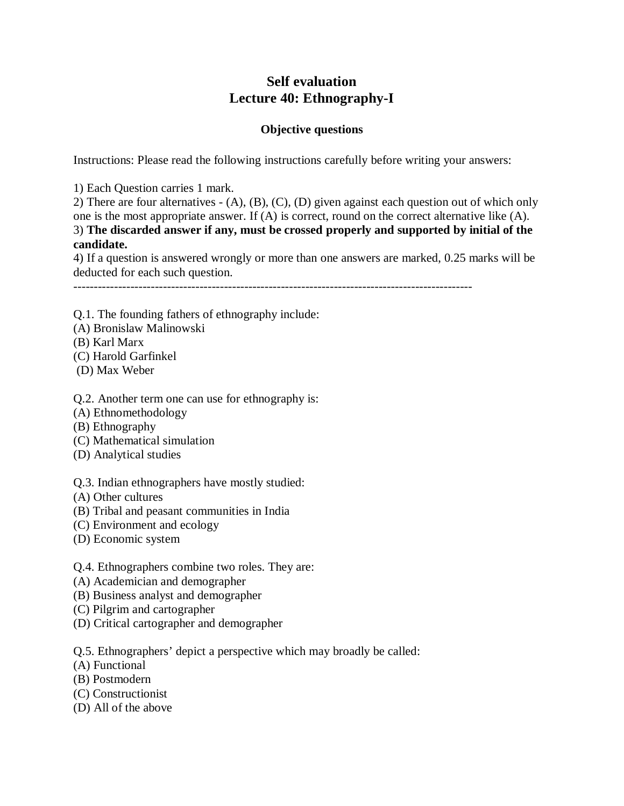# **Self evaluation Lecture 40: Ethnography-I**

# **Objective questions**

Instructions: Please read the following instructions carefully before writing your answers:

1) Each Question carries 1 mark.

2) There are four alternatives - (A), (B), (C), (D) given against each question out of which only one is the most appropriate answer. If (A) is correct, round on the correct alternative like (A). 3) **The discarded answer if any, must be crossed properly and supported by initial of the candidate.**

4) If a question is answered wrongly or more than one answers are marked, 0.25 marks will be deducted for each such question.

--------------------------------------------------------------------------------------------------

Q.1. The founding fathers of ethnography include:

- (A) Bronislaw Malinowski
- (B) Karl Marx
- (C) Harold Garfinkel
- (D) Max Weber

#### Q.2. Another term one can use for ethnography is:

- (A) Ethnomethodology
- (B) Ethnography
- (C) Mathematical simulation
- (D) Analytical studies
- Q.3. Indian ethnographers have mostly studied:
- (A) Other cultures
- (B) Tribal and peasant communities in India
- (C) Environment and ecology
- (D) Economic system
- Q.4. Ethnographers combine two roles. They are:
- (A) Academician and demographer
- (B) Business analyst and demographer
- (C) Pilgrim and cartographer
- (D) Critical cartographer and demographer

Q.5. Ethnographers' depict a perspective which may broadly be called:

- (A) Functional
- (B) Postmodern
- (C) Constructionist
- (D) All of the above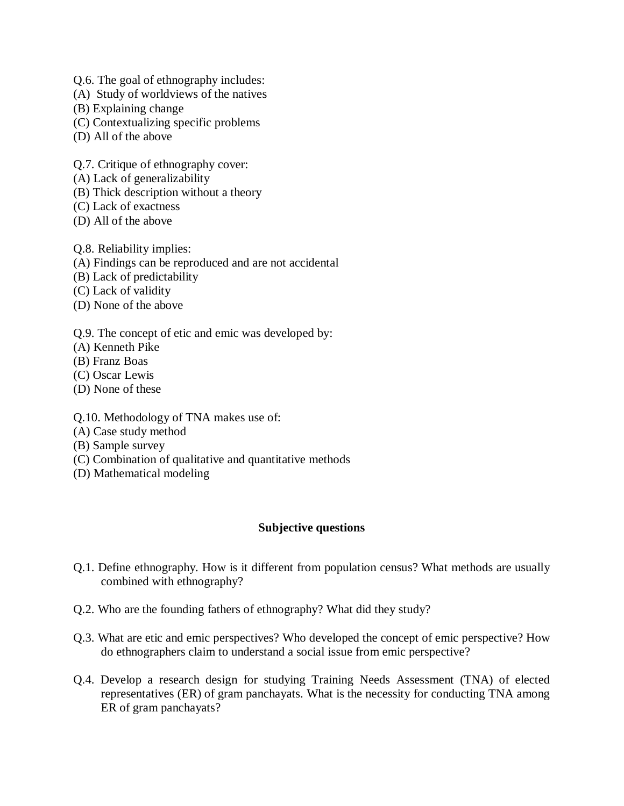- Q.6. The goal of ethnography includes:
- (A) Study of worldviews of the natives
- (B) Explaining change
- (C) Contextualizing specific problems
- (D) All of the above

Q.7. Critique of ethnography cover:

- (A) Lack of generalizability
- (B) Thick description without a theory
- (C) Lack of exactness
- (D) All of the above

Q.8. Reliability implies:

- (A) Findings can be reproduced and are not accidental
- (B) Lack of predictability
- (C) Lack of validity
- (D) None of the above
- Q.9. The concept of etic and emic was developed by:
- (A) Kenneth Pike
- (B) Franz Boas
- (C) Oscar Lewis
- (D) None of these
- Q.10. Methodology of TNA makes use of:
- (A) Case study method
- (B) Sample survey
- (C) Combination of qualitative and quantitative methods
- (D) Mathematical modeling

### **Subjective questions**

- Q.1. Define ethnography. How is it different from population census? What methods are usually combined with ethnography?
- Q.2. Who are the founding fathers of ethnography? What did they study?
- Q.3. What are etic and emic perspectives? Who developed the concept of emic perspective? How do ethnographers claim to understand a social issue from emic perspective?
- Q.4. Develop a research design for studying Training Needs Assessment (TNA) of elected representatives (ER) of gram panchayats. What is the necessity for conducting TNA among ER of gram panchayats?